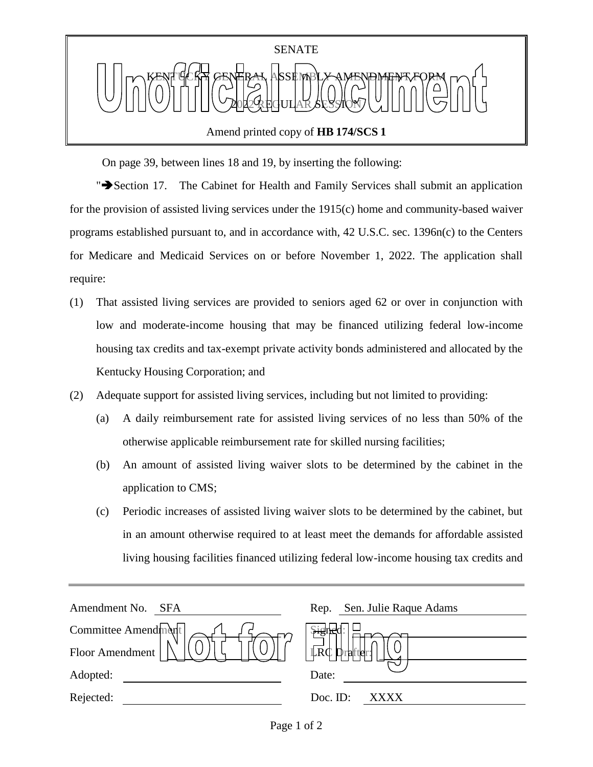

On page 39, between lines 18 and 19, by inserting the following:

"Section 17. The Cabinet for Health and Family Services shall submit an application for the provision of assisted living services under the 1915(c) home and community-based waiver programs established pursuant to, and in accordance with, 42 U.S.C. sec. 1396n(c) to the Centers for Medicare and Medicaid Services on or before November 1, 2022. The application shall require:

- (1) That assisted living services are provided to seniors aged 62 or over in conjunction with low and moderate-income housing that may be financed utilizing federal low-income housing tax credits and tax-exempt private activity bonds administered and allocated by the Kentucky Housing Corporation; and
- (2) Adequate support for assisted living services, including but not limited to providing:
	- (a) A daily reimbursement rate for assisted living services of no less than 50% of the otherwise applicable reimbursement rate for skilled nursing facilities;
	- (b) An amount of assisted living waiver slots to be determined by the cabinet in the application to CMS;
	- (c) Periodic increases of assisted living waiver slots to be determined by the cabinet, but in an amount otherwise required to at least meet the demands for affordable assisted living housing facilities financed utilizing federal low-income housing tax credits and

| Amendment No.<br>SFA | Sen. Julie Raque Adams<br>Rep. |
|----------------------|--------------------------------|
| Committee Amendment  | $\frac{1}{2}$                  |
| Floor Amendment      | $\mathbb{L}R\mathbb{C}$        |
| Adopted:             | Date:                          |
| Rejected:            | Doc. ID:<br><b>XXXX</b>        |